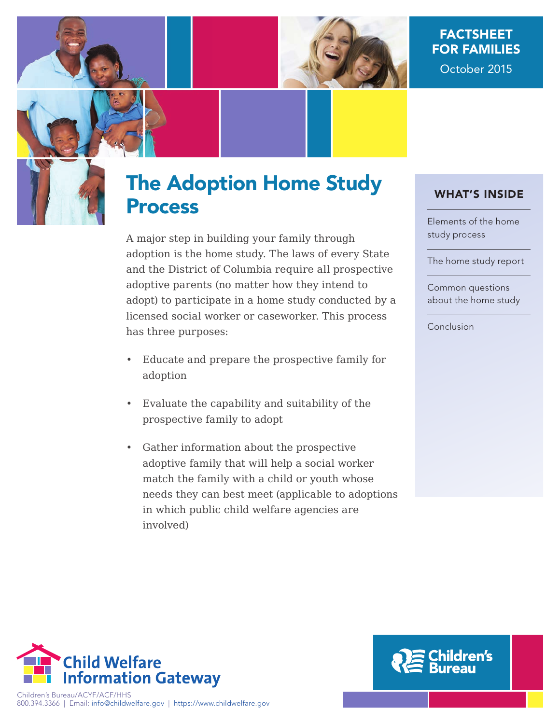

# FACTSHEET FOR FAMILIES October 2015



# The Adoption Home Study Process

A major step in building your family through adoption is the home study. The laws of every State and the District of Columbia require all prospective adoptive parents (no matter how they intend to adopt) to participate in a home study conducted by a licensed social worker or caseworker. This process has three purposes:

- Educate and prepare the prospective family for adoption
- Evaluate the capability and suitability of the prospective family to adopt
- Gather information about the prospective adoptive family that will help a social worker match the family with a child or youth whose needs they can best meet (applicable to adoptions in which public child welfare agencies are involved)

# WHAT'S INSIDE

Elements of the home study process

The home study report

Common questions about the home study

Conclusion





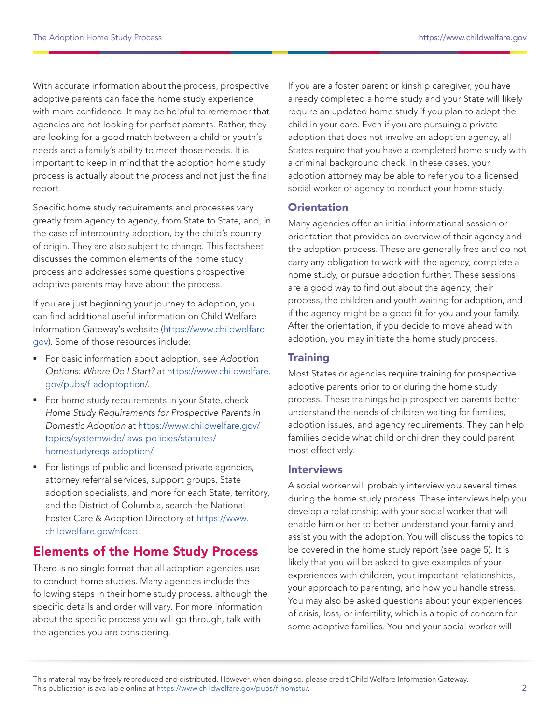With accurate information about the process, prospective adoptive parents can face the home study experience with more confidence. It may be helpful to remember that agencies are not looking for perfect parents. Rather, they are looking for a good match between a child or youth's needs and a family's ability to meet those needs. It is important to keep in mind that the adoption home study process is actually about the process and not just the final report.

Specific home study requirements and processes vary greatly from agency to agency, from State to State, and, in the case of intercountry adoption, by the child's country of origin. They are also subject to change. This factsheet discusses the common elements of the home study process and addresses some questions prospective adoptive parents may have about the process.

If you are just beginning your journey to adoption, you can find additional useful information on Child Welfare Information Gateway's website ([https://www.childwelfare.](https://www.childwelfare.gov) [gov\)](https://www.childwelfare.gov). Some of those resources include:

- For basic information about adoption, see Adoption Options: Where Do I Start? at [https://www.childwelfare.](https://www.childwelfare.gov/pubs/f-adoptoption/) [gov/pubs/f-adoptoption/](https://www.childwelfare.gov/pubs/f-adoptoption/).
- For home study requirements in your State, check Home Study Requirements for Prospective Parents in Domestic Adoption at [https://www.childwelfare.gov/](https://www.childwelfare.gov/topics/systemwide/laws-policies/statutes/homestudyreqs-adoption/) [topics/systemwide/laws-policies/statutes/](https://www.childwelfare.gov/topics/systemwide/laws-policies/statutes/homestudyreqs-adoption/) [homestudyreqs-adoption/.](https://www.childwelfare.gov/topics/systemwide/laws-policies/statutes/homestudyreqs-adoption/)
- For listings of public and licensed private agencies, attorney referral services, support groups, State adoption specialists, and more for each State, territory, and the District of Columbia, search the National Foster Care & Adoption Directory at [https://www.](https://www.childwelfare.gov/nfcad) [childwelfare.gov/nfcad.](https://www.childwelfare.gov/nfcad)

# Elements of the Home Study Process

There is no single format that all adoption agencies use to conduct home studies. Many agencies include the following steps in their home study process, although the specific details and order will vary. For more information about the specific process you will go through, talk with the agencies you are considering.

If you are a foster parent or kinship caregiver, you have already completed a home study and your State will likely require an updated home study if you plan to adopt the child in your care. Even if you are pursuing a private adoption that does not involve an adoption agency, all States require that you have a completed home study with a criminal background check. In these cases, your adoption attorney may be able to refer you to a licensed social worker or agency to conduct your home study.

#### **Orientation**

Many agencies offer an initial informational session or orientation that provides an overview of their agency and the adoption process. These are generally free and do not carry any obligation to work with the agency, complete a home study, or pursue adoption further. These sessions are a good way to find out about the agency, their process, the children and youth waiting for adoption, and if the agency might be a good fit for you and your family. After the orientation, if you decide to move ahead with adoption, you may initiate the home study process.

## **Training**

Most States or agencies require training for prospective adoptive parents prior to or during the home study process. These trainings help prospective parents better understand the needs of children waiting for families, adoption issues, and agency requirements. They can help families decide what child or children they could parent most effectively.

#### Interviews

A social worker will probably interview you several times during the home study process. These interviews help you develop a relationship with your social worker that will enable him or her to better understand your family and assist you with the adoption. You will discuss the topics to be covered in the home study report (see page 5). It is likely that you will be asked to give examples of your experiences with children, your important relationships, your approach to parenting, and how you handle stress. You may also be asked questions about your experiences of crisis, loss, or infertility, which is a topic of concern for some adoptive families. You and your social worker will

This material may be freely reproduced and distributed. However, when doing so, please credit Child Welfare Information Gateway. This publication is available online at [https://www.childwelfare.gov/pubs/f-homstu/.](https://www.childwelfare.gov/pubs/f-homstu/)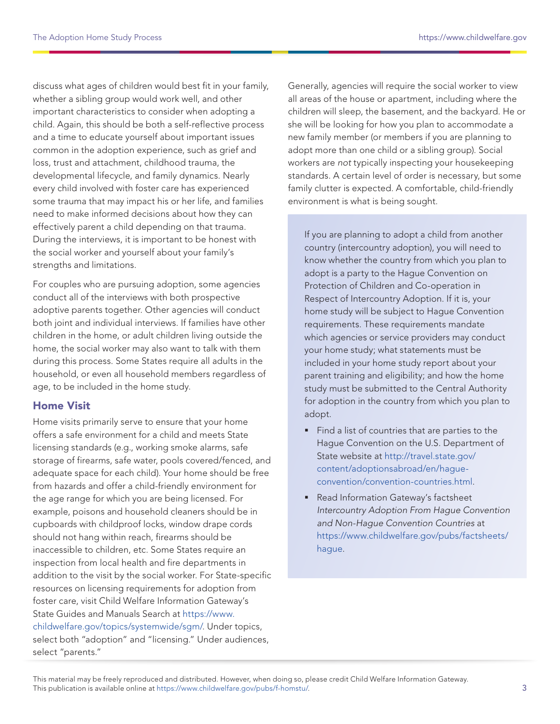discuss what ages of children would best fit in your family, whether a sibling group would work well, and other important characteristics to consider when adopting a child. Again, this should be both a self-reflective process and a time to educate yourself about important issues common in the adoption experience, such as grief and loss, trust and attachment, childhood trauma, the developmental lifecycle, and family dynamics. Nearly every child involved with foster care has experienced some trauma that may impact his or her life, and families need to make informed decisions about how they can effectively parent a child depending on that trauma. During the interviews, it is important to be honest with the social worker and yourself about your family's strengths and limitations.

For couples who are pursuing adoption, some agencies conduct all of the interviews with both prospective adoptive parents together. Other agencies will conduct both joint and individual interviews. If families have other children in the home, or adult children living outside the home, the social worker may also want to talk with them during this process. Some States require all adults in the household, or even all household members regardless of age, to be included in the home study.

#### Home Visit

Home visits primarily serve to ensure that your home offers a safe environment for a child and meets State licensing standards (e.g., working smoke alarms, safe storage of firearms, safe water, pools covered/fenced, and adequate space for each child). Your home should be free from hazards and offer a child-friendly environment for the age range for which you are being licensed. For example, poisons and household cleaners should be in cupboards with childproof locks, window drape cords should not hang within reach, firearms should be inaccessible to children, etc. Some States require an inspection from local health and fire departments in addition to the visit by the social worker. For State-specific resources on licensing requirements for adoption from foster care, visit Child Welfare Information Gateway's State Guides and Manuals Search at [https://www.](https://www.childwelfare.gov/topics/systemwide/sgm/) [childwelfare.gov/topics/systemwide/sgm/](https://www.childwelfare.gov/topics/systemwide/sgm/). Under topics, select both "adoption" and "licensing." Under audiences, select "parents."

Generally, agencies will require the social worker to view all areas of the house or apartment, including where the children will sleep, the basement, and the backyard. He or she will be looking for how you plan to accommodate a new family member (or members if you are planning to adopt more than one child or a sibling group). Social workers are not typically inspecting your housekeeping standards. A certain level of order is necessary, but some family clutter is expected. A comfortable, child-friendly environment is what is being sought.

If you are planning to adopt a child from another country (intercountry adoption), you will need to know whether the country from which you plan to adopt is a party to the Hague Convention on Protection of Children and Co-operation in Respect of Intercountry Adoption. If it is, your home study will be subject to Hague Convention requirements. These requirements mandate which agencies or service providers may conduct your home study; what statements must be included in your home study report about your parent training and eligibility; and how the home study must be submitted to the Central Authority for adoption in the country from which you plan to adopt.

- Find a list of countries that are parties to the Hague Convention on the U.S. Department of State website at [http://travel.state.gov/](http://travel.state.gov/content/adoptionsabroad/en/hague-convention/convention-countries.html) [content/adoptionsabroad/en/hague](http://travel.state.gov/content/adoptionsabroad/en/hague-convention/convention-countries.html)[convention/convention-countries.html.](http://travel.state.gov/content/adoptionsabroad/en/hague-convention/convention-countries.html)
- Read Information Gateway's factsheet Intercountry Adoption From Hague Convention and Non-Hague Convention Countries at [https://www.childwelfare.gov/pubs/factsheets/](https://www.childwelfare.gov/pubs/factsheets/hague) [hague.](https://www.childwelfare.gov/pubs/factsheets/hague)

This material may be freely reproduced and distributed. However, when doing so, please credit Child Welfare Information Gateway. This publication is available online at https://www.childwelfare.gov/pubs/f-homstu/.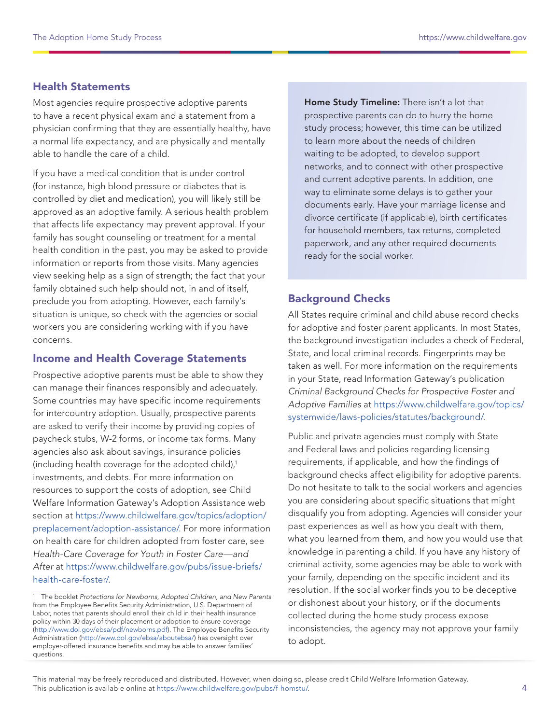#### Health Statements

Most agencies require prospective adoptive parents to have a recent physical exam and a statement from a physician confirming that they are essentially healthy, have a normal life expectancy, and are physically and mentally able to handle the care of a child.

If you have a medical condition that is under control (for instance, high blood pressure or diabetes that is controlled by diet and medication), you will likely still be approved as an adoptive family. A serious health problem that affects life expectancy may prevent approval. If your family has sought counseling or treatment for a mental health condition in the past, you may be asked to provide information or reports from those visits. Many agencies view seeking help as a sign of strength; the fact that your family obtained such help should not, in and of itself, preclude you from adopting. However, each family's situation is unique, so check with the agencies or social workers you are considering working with if you have concerns.

#### Income and Health Coverage Statements

Prospective adoptive parents must be able to show they can manage their finances responsibly and adequately. Some countries may have specific income requirements for intercountry adoption. Usually, prospective parents are asked to verify their income by providing copies of paycheck stubs, W-2 forms, or income tax forms. Many agencies also ask about savings, insurance policies (including health coverage for the adopted child),<sup>1</sup> investments, and debts. For more information on resources to support the costs of adoption, see Child Welfare Information Gateway's Adoption Assistance web section at [https://www.childwelfare.gov/topics/adoption/](https://www.childwelfare.gov/topics/adoption/preplacement/adoption-assistance/) [preplacement/adoption-assistance/](https://www.childwelfare.gov/topics/adoption/preplacement/adoption-assistance/). For more information on health care for children adopted from foster care, see Health-Care Coverage for Youth in Foster Care—and After at [https://www.childwelfare.gov/pubs/issue-briefs/](https://www.childwelfare.gov/pubs/issue-briefs/health-care-foster/) [health-care-foster/](https://www.childwelfare.gov/pubs/issue-briefs/health-care-foster/).

Home Study Timeline: There isn't a lot that prospective parents can do to hurry the home study process; however, this time can be utilized to learn more about the needs of children waiting to be adopted, to develop support networks, and to connect with other prospective and current adoptive parents. In addition, one way to eliminate some delays is to gather your documents early. Have your marriage license and divorce certificate (if applicable), birth certificates for household members, tax returns, completed paperwork, and any other required documents ready for the social worker.

## Background Checks

All States require criminal and child abuse record checks for adoptive and foster parent applicants. In most States, the background investigation includes a check of Federal, State, and local criminal records. Fingerprints may be taken as well. For more information on the requirements in your State, read Information Gateway's publication Criminal Background Checks for Prospective Foster and Adoptive Families at [https://www.childwelfare.gov/topics/](https://www.childwelfare.gov/topics/systemwide/laws-policies/statutes/background/) [systemwide/laws-policies/statutes/background/](https://www.childwelfare.gov/topics/systemwide/laws-policies/statutes/background/).

Public and private agencies must comply with State and Federal laws and policies regarding licensing requirements, if applicable, and how the findings of background checks affect eligibility for adoptive parents. Do not hesitate to talk to the social workers and agencies you are considering about specific situations that might disqualify you from adopting. Agencies will consider your past experiences as well as how you dealt with them, what you learned from them, and how you would use that knowledge in parenting a child. If you have any history of criminal activity, some agencies may be able to work with your family, depending on the specific incident and its resolution. If the social worker finds you to be deceptive or dishonest about your history, or if the documents collected during the home study process expose inconsistencies, the agency may not approve your family to adopt.

This material may be freely reproduced and distributed. However, when doing so, please credit Child Welfare Information Gateway. This publication is available online at https://www.childwelfare.gov/pubs/f-homstu/.

The booklet Protections for Newborns, Adopted Children, and New Parents from the Employee Benefits Security Administration, U.S. Department of Labor, notes that parents should enroll their child in their health insurance policy within 30 days of their placement or adoption to ensure coverage (<http://www.dol.gov/ebsa/pdf/newborns.pdf>). The Employee Benefits Security Administration (<http://www.dol.gov/ebsa/aboutebsa/>) has oversight over employer-offered insurance benefits and may be able to answer families' questions.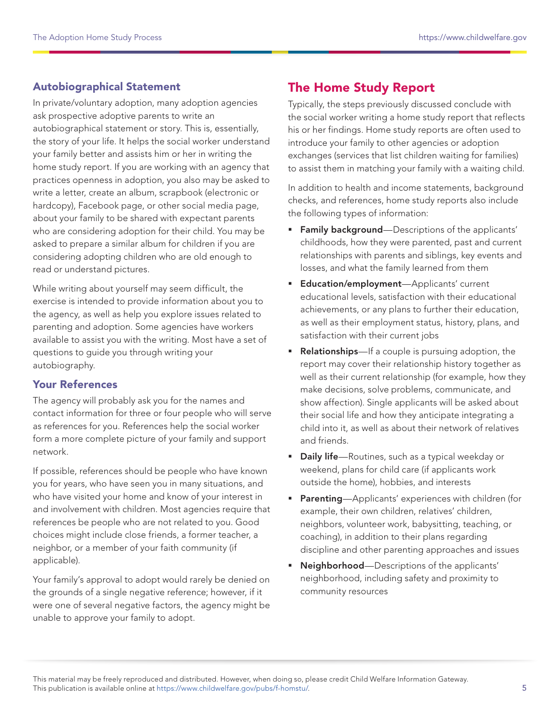### Autobiographical Statement

In private/voluntary adoption, many adoption agencies ask prospective adoptive parents to write an autobiographical statement or story. This is, essentially, the story of your life. It helps the social worker understand your family better and assists him or her in writing the home study report. If you are working with an agency that practices openness in adoption, you also may be asked to write a letter, create an album, scrapbook (electronic or hardcopy), Facebook page, or other social media page, about your family to be shared with expectant parents who are considering adoption for their child. You may be asked to prepare a similar album for children if you are considering adopting children who are old enough to read or understand pictures.

While writing about yourself may seem difficult, the exercise is intended to provide information about you to the agency, as well as help you explore issues related to parenting and adoption. Some agencies have workers available to assist you with the writing. Most have a set of questions to guide you through writing your autobiography.

#### Your References

The agency will probably ask you for the names and contact information for three or four people who will serve as references for you. References help the social worker form a more complete picture of your family and support network.

If possible, references should be people who have known you for years, who have seen you in many situations, and who have visited your home and know of your interest in and involvement with children. Most agencies require that references be people who are not related to you. Good choices might include close friends, a former teacher, a neighbor, or a member of your faith community (if applicable).

Your family's approval to adopt would rarely be denied on the grounds of a single negative reference; however, if it were one of several negative factors, the agency might be unable to approve your family to adopt.

# The Home Study Report

Typically, the steps previously discussed conclude with the social worker writing a home study report that reflects his or her findings. Home study reports are often used to introduce your family to other agencies or adoption exchanges (services that list children waiting for families) to assist them in matching your family with a waiting child.

In addition to health and income statements, background checks, and references, home study reports also include the following types of information:

- **Family background**—Descriptions of the applicants' childhoods, how they were parented, past and current relationships with parents and siblings, key events and losses, and what the family learned from them
- **Education/employment**—Applicants' current educational levels, satisfaction with their educational achievements, or any plans to further their education, as well as their employment status, history, plans, and satisfaction with their current jobs
- **Relationships**—If a couple is pursuing adoption, the report may cover their relationship history together as well as their current relationship (for example, how they make decisions, solve problems, communicate, and show affection). Single applicants will be asked about their social life and how they anticipate integrating a child into it, as well as about their network of relatives and friends.
- Daily life-Routines, such as a typical weekday or weekend, plans for child care (if applicants work outside the home), hobbies, and interests
- **Parenting**—Applicants' experiences with children (for example, their own children, relatives' children, neighbors, volunteer work, babysitting, teaching, or coaching), in addition to their plans regarding discipline and other parenting approaches and issues
- Neighborhood—Descriptions of the applicants' neighborhood, including safety and proximity to community resources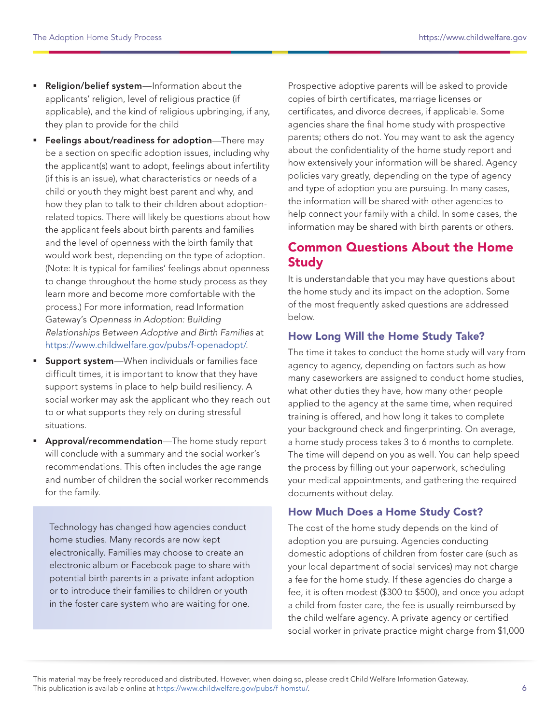- Religion/belief system-Information about the applicants' religion, level of religious practice (if applicable), and the kind of religious upbringing, if any, they plan to provide for the child
- **Feelings about/readiness for adoption**—There may be a section on specific adoption issues, including why the applicant(s) want to adopt, feelings about infertility (if this is an issue), what characteristics or needs of a child or youth they might best parent and why, and how they plan to talk to their children about adoptionrelated topics. There will likely be questions about how the applicant feels about birth parents and families and the level of openness with the birth family that would work best, depending on the type of adoption. (Note: It is typical for families' feelings about openness to change throughout the home study process as they learn more and become more comfortable with the process.) For more information, read Information Gateway's Openness in Adoption: Building Relationships Between Adoptive and Birth Families at [https://www.childwelfare.gov/pubs/f-openadopt/.](https://www.childwelfare.gov/pubs/f-openadopt/)
- **Support system**—When individuals or families face difficult times, it is important to know that they have support systems in place to help build resiliency. A social worker may ask the applicant who they reach out to or what supports they rely on during stressful situations.
- **Approval/recommendation**—The home study report will conclude with a summary and the social worker's recommendations. This often includes the age range and number of children the social worker recommends for the family.

Technology has changed how agencies conduct home studies. Many records are now kept electronically. Families may choose to create an electronic album or Facebook page to share with potential birth parents in a private infant adoption or to introduce their families to children or youth in the foster care system who are waiting for one.

Prospective adoptive parents will be asked to provide copies of birth certificates, marriage licenses or certificates, and divorce decrees, if applicable. Some agencies share the final home study with prospective parents; others do not. You may want to ask the agency about the confidentiality of the home study report and how extensively your information will be shared. Agency policies vary greatly, depending on the type of agency and type of adoption you are pursuing. In many cases, the information will be shared with other agencies to help connect your family with a child. In some cases, the information may be shared with birth parents or others.

# Common Questions About the Home Study

It is understandable that you may have questions about the home study and its impact on the adoption. Some of the most frequently asked questions are addressed below.

## How Long Will the Home Study Take?

The time it takes to conduct the home study will vary from agency to agency, depending on factors such as how many caseworkers are assigned to conduct home studies, what other duties they have, how many other people applied to the agency at the same time, when required training is offered, and how long it takes to complete your background check and fingerprinting. On average, a home study process takes 3 to 6 months to complete. The time will depend on you as well. You can help speed the process by filling out your paperwork, scheduling your medical appointments, and gathering the required documents without delay.

## How Much Does a Home Study Cost?

The cost of the home study depends on the kind of adoption you are pursuing. Agencies conducting domestic adoptions of children from foster care (such as your local department of social services) may not charge a fee for the home study. If these agencies do charge a fee, it is often modest (\$300 to \$500), and once you adopt a child from foster care, the fee is usually reimbursed by the child welfare agency. A private agency or certified social worker in private practice might charge from \$1,000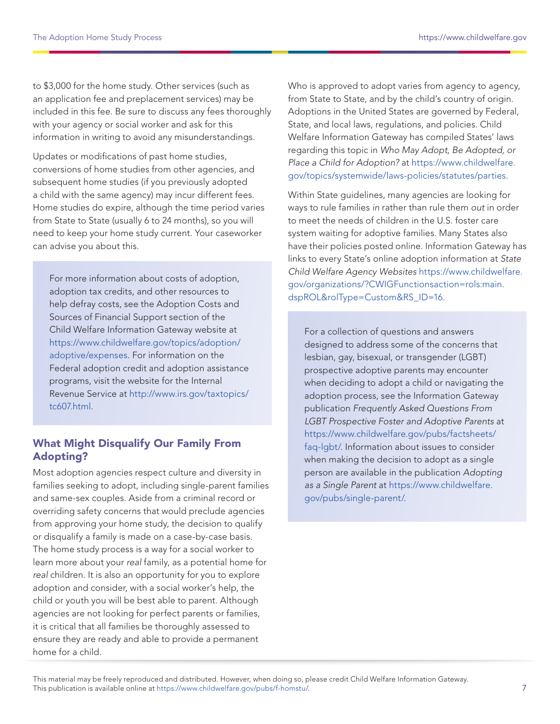to \$3,000 for the home study. Other services (such as an application fee and preplacement services) may be included in this fee. Be sure to discuss any fees thoroughly with your agency or social worker and ask for this information in writing to avoid any misunderstandings.

Updates or modifications of past home studies, conversions of home studies from other agencies, and subsequent home studies (if you previously adopted a child with the same agency) may incur different fees. Home studies do expire, although the time period varies from State to State (usually 6 to 24 months), so you will need to keep your home study current. Your caseworker can advise you about this.

For more information about costs of adoption, adoption tax credits, and other resources to help defray costs, see the Adoption Costs and Sources of Financial Support section of the Child Welfare Information Gateway website at [https://www.childwelfare.gov/topics/adoption/](https://www.childwelfare.gov/topics/adoption/adoptive/expenses) [adoptive/expenses](https://www.childwelfare.gov/topics/adoption/adoptive/expenses). For information on the Federal adoption credit and adoption assistance programs, visit the website for the Internal Revenue Service at [http://www.irs.gov/taxtopics/](http://www.irs.gov/taxtopics/tc607.html) [tc607.html](http://www.irs.gov/taxtopics/tc607.html).

## What Might Disqualify Our Family From Adopting?

Most adoption agencies respect culture and diversity in families seeking to adopt, including single-parent families and same-sex couples. Aside from a criminal record or overriding safety concerns that would preclude agencies from approving your home study, the decision to qualify or disqualify a family is made on a case-by-case basis. The home study process is a way for a social worker to learn more about your real family, as a potential home for real children. It is also an opportunity for you to explore adoption and consider, with a social worker's help, the child or youth you will be best able to parent. Although agencies are not looking for perfect parents or families, it is critical that all families be thoroughly assessed to ensure they are ready and able to provide a permanent home for a child.

Who is approved to adopt varies from agency to agency, from State to State, and by the child's country of origin. Adoptions in the United States are governed by Federal, State, and local laws, regulations, and policies. Child Welfare Information Gateway has compiled States' laws regarding this topic in Who May Adopt, Be Adopted, or Place a Child for Adoption? at [https://www.childwelfare.](https://www.childwelfare.gov/topics/systemwide/laws-policies/statutes/parties) [gov/topics/systemwide/laws-policies/statutes/parties](https://www.childwelfare.gov/topics/systemwide/laws-policies/statutes/parties).

Within State guidelines, many agencies are looking for ways to rule families in rather than rule them out in order to meet the needs of children in the U.S. foster care system waiting for adoptive families. Many States also have their policies posted online. Information Gateway has links to every State's online adoption information at State Child Welfare Agency Websites [https://www.childwelfare.](https://www.childwelfare.gov/organizations/?CWIGFunctionsaction=rols:main.dspROL&rolType=Custom&RS_ID=16) [gov/organizations/?CWIGFunctionsaction=rols:main.](https://www.childwelfare.gov/organizations/?CWIGFunctionsaction=rols:main.dspROL&rolType=Custom&RS_ID=16) [dspROL&rolType=Custom&RS\\_ID=16](https://www.childwelfare.gov/organizations/?CWIGFunctionsaction=rols:main.dspROL&rolType=Custom&RS_ID=16).

For a collection of questions and answers designed to address some of the concerns that lesbian, gay, bisexual, or transgender (LGBT) prospective adoptive parents may encounter when deciding to adopt a child or navigating the adoption process, see the Information Gateway publication Frequently Asked Questions From LGBT Prospective Foster and Adoptive Parents at [https://www.childwelfare.gov/pubs/factsheets/](https://www.childwelfare.gov/pubs/factsheets/faq-lgbt/) [faq-lgbt/](https://www.childwelfare.gov/pubs/factsheets/faq-lgbt/). Information about issues to consider when making the decision to adopt as a single person are available in the publication Adopting as a Single Parent at [https://www.childwelfare.](https://www.childwelfare.gov/pubs/single-parent/) [gov/pubs/single-parent/](https://www.childwelfare.gov/pubs/single-parent/).